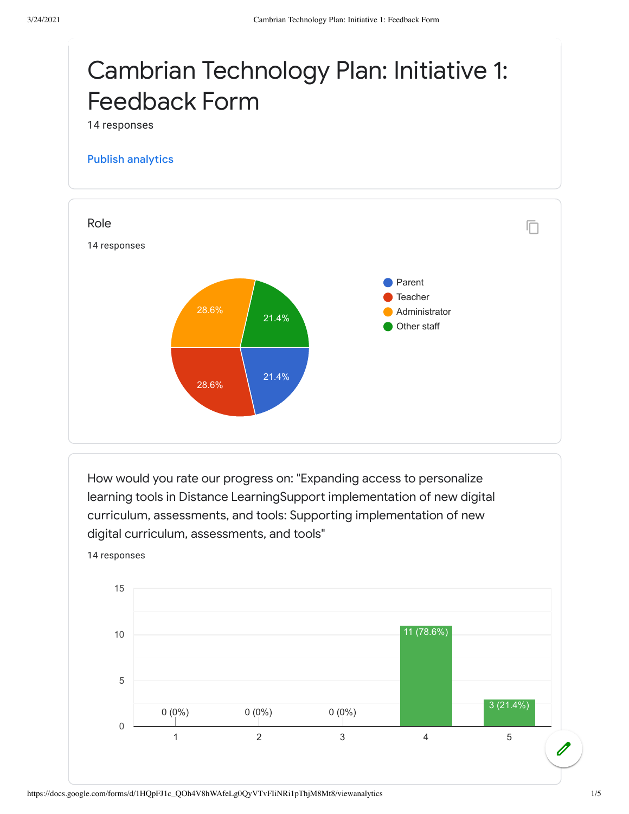## Cambrian Technology Plan: Initiative 1: Feedback Form

14 responses

14 responses

## Publish [analytics](https://docs.google.com/forms/d/1HQpFJ1c_QOh4V8hWAfeLg0QyVTvFIiNRi1pThjM8Mt8/edit?usp=redirect_edit_m2#start=publishanalytics)



How would you rate our progress on: "Expanding access to personalize learning tools in Distance LearningSupport implementation of new digital curriculum, assessments, and tools: Supporting implementation of new digital curriculum, assessments, and tools"

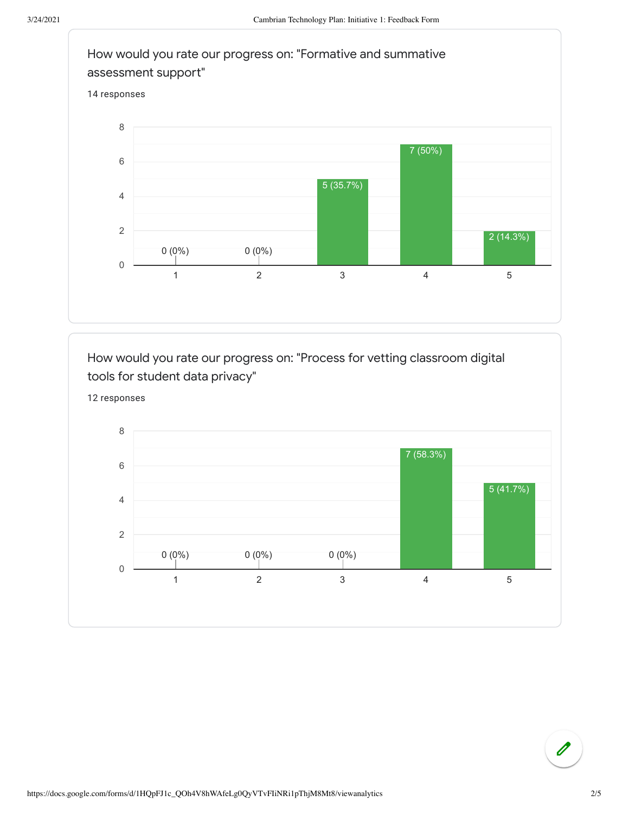

How would you rate our progress on: "Process for vetting classroom digital tools for student data privacy"





 $\mathscr{O}$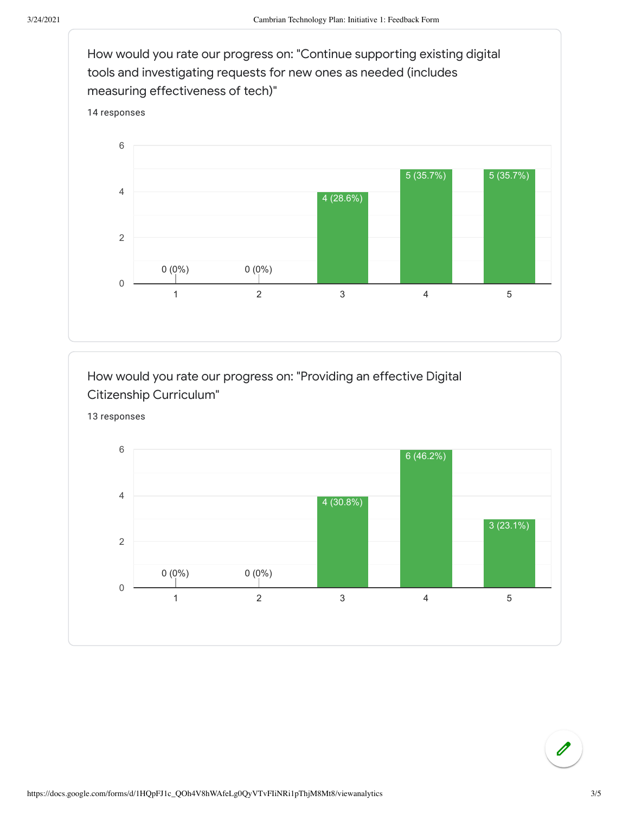





13 responses

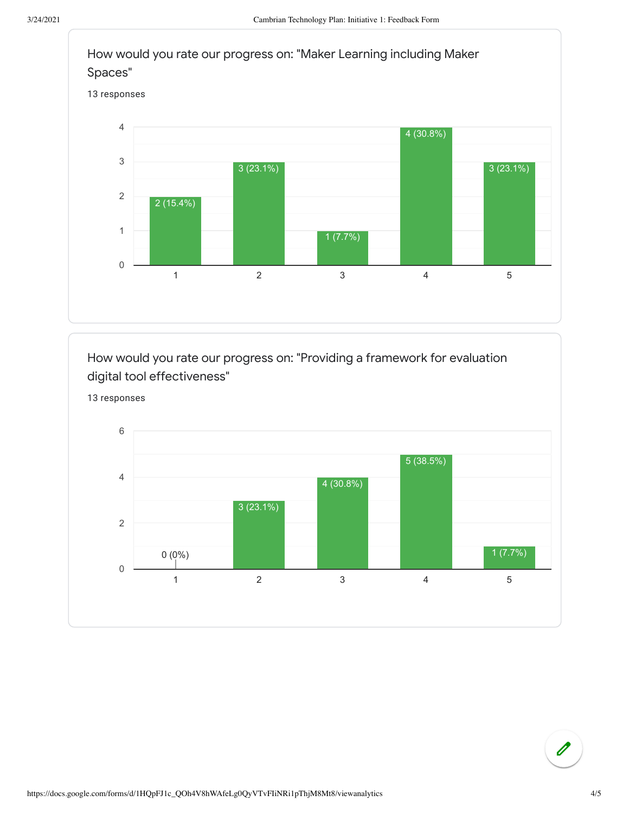

How would you rate our progress on: "Providing a framework for evaluation digital tool effectiveness"



## 13 responses

0